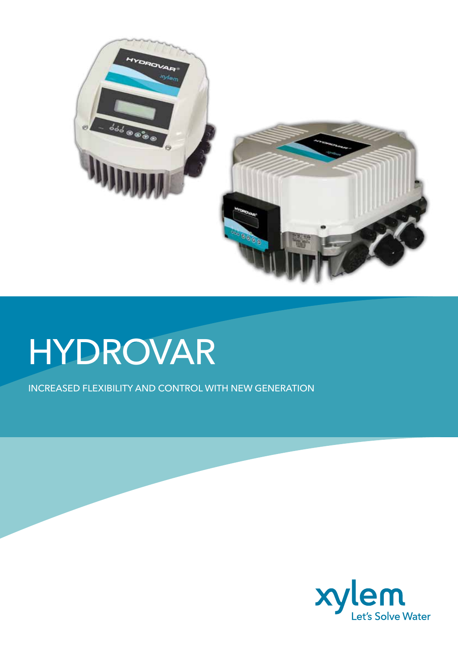

# HYDROVAR

Increased flexibility and control with new generation

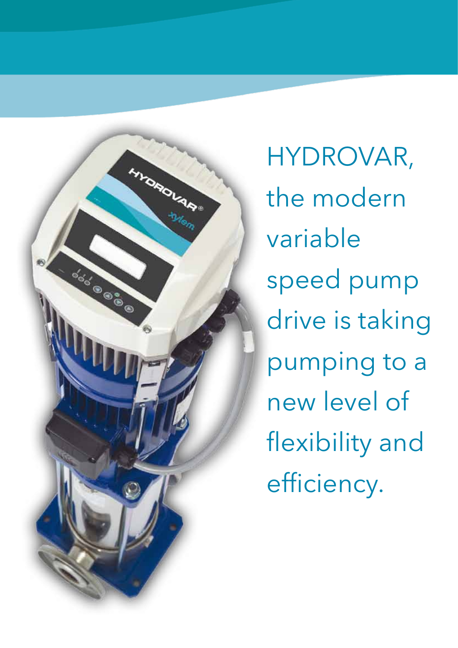

HYDROVAR, the modern variable speed pump drive is taking pumping to a new level of flexibility and efficiency.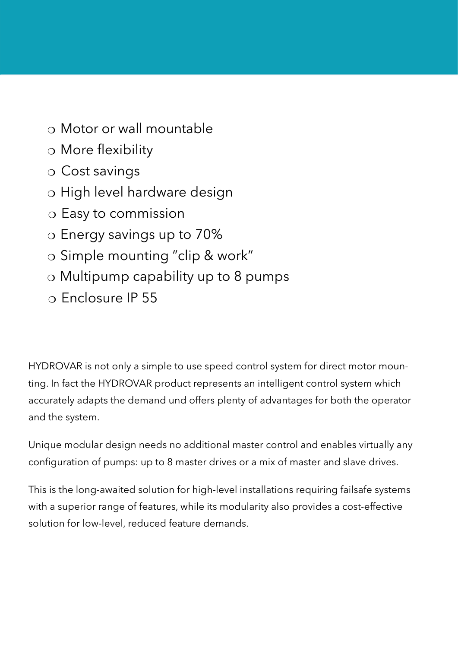- $\circ$  Motor or wall mountable
- o More flexibility
- <sup>m</sup>Cost savings
- o High level hardware design
- o Easy to commission
- o Energy savings up to 70%
- o Simple mounting "clip & work"
- $\circ$  Multipump capability up to 8 pumps
- o Enclosure IP 55

HYDROVAR is not only a simple to use speed control system for direct motor mounting. In fact the HYDROVAR product represents an intelligent control system which accurately adapts the demand und offers plenty of advantages for both the operator and the system.

Unique modular design needs no additional master control and enables virtually any configuration of pumps: up to 8 master drives or a mix of master and slave drives.

This is the long-awaited solution for high-level installations requiring failsafe systems with a superior range of features, while its modularity also provides a cost-effective solution for low-level, reduced feature demands.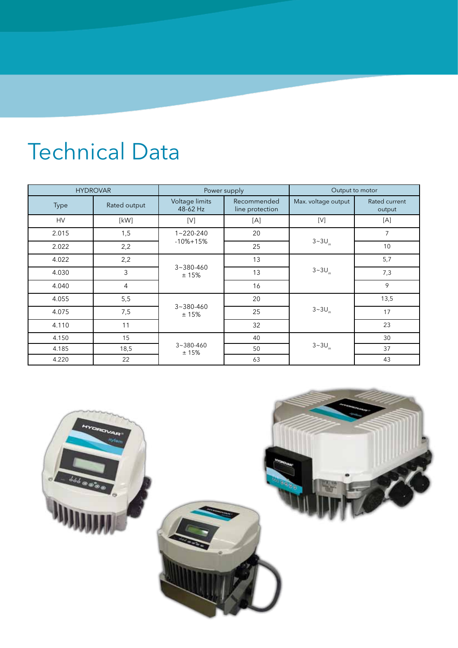## Technical Data

| <b>HYDROVAR</b> |                | Power supply               |                                | Output to motor                                                                                                                                                                                                                                                                                                                                                                                                                                                                                                                                                                                                                                                                                                                                                                                                                                 |                         |
|-----------------|----------------|----------------------------|--------------------------------|-------------------------------------------------------------------------------------------------------------------------------------------------------------------------------------------------------------------------------------------------------------------------------------------------------------------------------------------------------------------------------------------------------------------------------------------------------------------------------------------------------------------------------------------------------------------------------------------------------------------------------------------------------------------------------------------------------------------------------------------------------------------------------------------------------------------------------------------------|-------------------------|
| Type            | Rated output   | Voltage limits<br>48-62 Hz | Recommended<br>line protection | Max. voltage output                                                                                                                                                                                                                                                                                                                                                                                                                                                                                                                                                                                                                                                                                                                                                                                                                             | Rated current<br>output |
| <b>HV</b>       | [kW]           | [V]                        | [A]                            | $[{\mathsf{V}}] % \centering \includegraphics[width=0.9\textwidth]{images/TrDiM-Architecture.png} % \caption{The first two different values of $g_I$ and $g_I$ are shown in the left, the first two different values of $g_I$ and $g_I$ are shown in the right, and the second two different values of $g_I$ are shown in the right, and the third two different values of $g_I$ are shown in the right, and the third two different values of $g_I$ are shown in the right, and the third two different values of $g_I$ are shown in the right, and the third two different values of $g_I$ are shown in the right, and the third two different values of $g_I$ are shown in the right, and the third two different values of $g_I$ are shown in the right, and the third two different values of $g_I$ are shown in the right, and the third$ | [A]                     |
| 2.015           | 1,5            | 20<br>$1 - 220 - 240$      |                                | 7                                                                                                                                                                                                                                                                                                                                                                                                                                                                                                                                                                                                                                                                                                                                                                                                                                               |                         |
| 2.022           | 2,2            | $-10% + 15%$               | 25                             | $3 - 3U_{in}$                                                                                                                                                                                                                                                                                                                                                                                                                                                                                                                                                                                                                                                                                                                                                                                                                                   | 10                      |
| 4.022           | 2,2            | $3 - 380 - 460$<br>±15%    | 13                             | $3 - 3U_{in}$                                                                                                                                                                                                                                                                                                                                                                                                                                                                                                                                                                                                                                                                                                                                                                                                                                   | 5,7                     |
| 4.030           | $\mathfrak{Z}$ |                            | 13                             |                                                                                                                                                                                                                                                                                                                                                                                                                                                                                                                                                                                                                                                                                                                                                                                                                                                 | 7,3                     |
| 4.040           | 4              |                            | 16                             |                                                                                                                                                                                                                                                                                                                                                                                                                                                                                                                                                                                                                                                                                                                                                                                                                                                 | 9                       |
| 4.055           | 5,5            |                            | 20                             | $3 - 3U_{in}$                                                                                                                                                                                                                                                                                                                                                                                                                                                                                                                                                                                                                                                                                                                                                                                                                                   | 13,5                    |
| 4.075           | 7,5            | $3 - 380 - 460$<br>±15%    | 25                             |                                                                                                                                                                                                                                                                                                                                                                                                                                                                                                                                                                                                                                                                                                                                                                                                                                                 | 17                      |
| 4.110           | 11             |                            | 32                             |                                                                                                                                                                                                                                                                                                                                                                                                                                                                                                                                                                                                                                                                                                                                                                                                                                                 | 23                      |
| 4.150           | 15             | $3 - 380 - 460$<br>± 15%   | 40                             | $3 - 3U_{in}$                                                                                                                                                                                                                                                                                                                                                                                                                                                                                                                                                                                                                                                                                                                                                                                                                                   | 30                      |
| 4.185           | 18,5           |                            | 50                             |                                                                                                                                                                                                                                                                                                                                                                                                                                                                                                                                                                                                                                                                                                                                                                                                                                                 | 37                      |
| 4.220           | 22             |                            | 63                             |                                                                                                                                                                                                                                                                                                                                                                                                                                                                                                                                                                                                                                                                                                                                                                                                                                                 | 43                      |

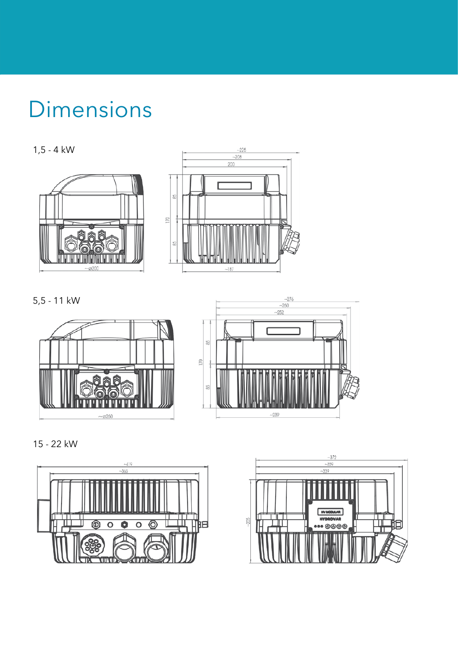## Dimensions





5,5 - 11 kW





15 - 22 kW



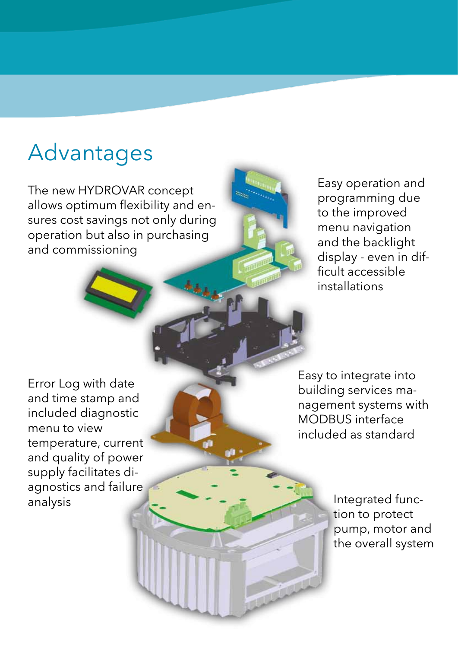## Advantages

The new HYDROVAR concept allows optimum flexibility and ensures cost savings not only during operation but also in purchasing and commissioning

Easy operation and programming due to the improved menu navigation and the backlight display - even in difficult accessible installations

Error Log with date and time stamp and included diagnostic menu to view temperature, current and quality of power supply facilitates diagnostics and failure analysis

Easy to integrate into building services management systems with MODBUS interface included as standard

> Integrated function to protect pump, motor and the overall system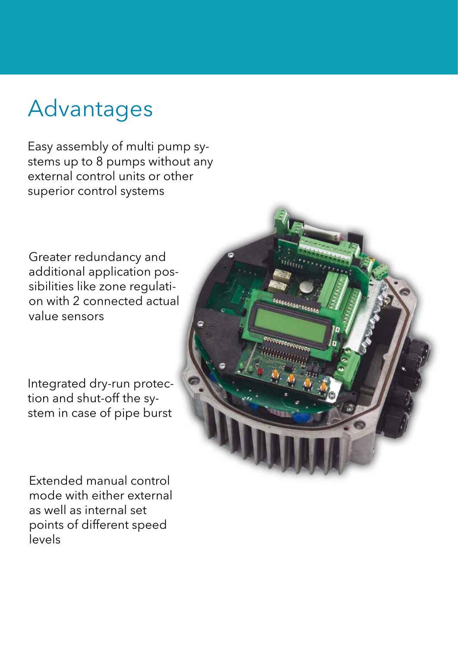## Advantages

Easy assembly of multi pump systems up to 8 pumps without any external control units or other superior control systems

Greater redundancy and additional application possibilities like zone regulation with 2 connected actual value sensors

Integrated dry-run protection and shut-off the system in case of pipe burst

Extended manual control mode with either external as well as internal set points of different speed levels

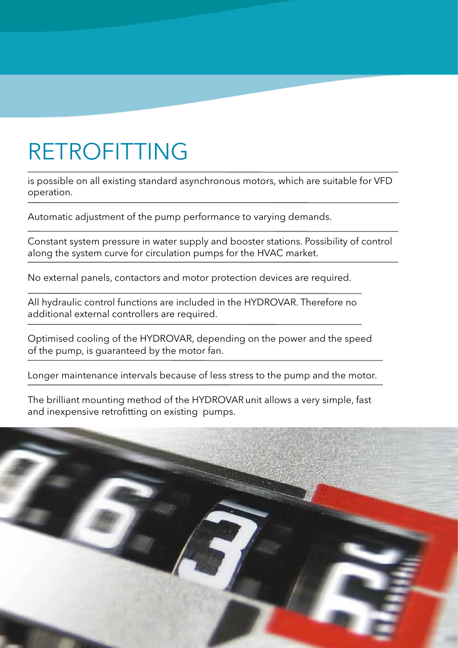## RETROFITTING

is possible on all existing standard asynchronous motors, which are suitable for VFD operation.

Automatic adjustment of the pump performance to varying demands.

Constant system pressure in water supply and booster stations. Possibility of control along the system curve for circulation pumps for the HVAC market.

No external panels, contactors and motor protection devices are required.

All hydraulic control functions are included in the HYDROVAR. Therefore no additional external controllers are required.

Optimised cooling of the HYDROVAR, depending on the power and the speed of the pump, is guaranteed by the motor fan.

Longer maintenance intervals because of less stress to the pump and the motor.

The brilliant mounting method of the HYDROVARunit allows a very simple, fast and inexpensive retrofitting on existing pumps.

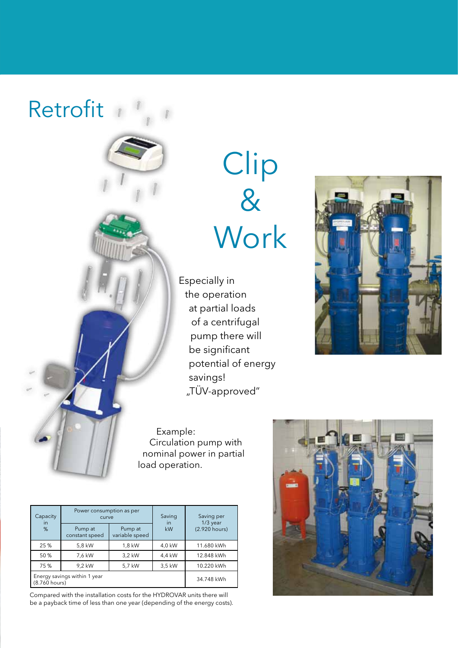

## Clip & **Work**

Especially in the operation at partial loads of a centrifugal pump there will be significant potential of energy savings! "TÜV-approved"



 Circulation pump with nominal power in partial load operation.

| Capacity<br>$\overline{m}$<br>%               | Power consumption as per<br>curve |                           | Saving<br><i>in</i> | Saving per<br>$1/3$ year<br>(2.920 hours) |
|-----------------------------------------------|-----------------------------------|---------------------------|---------------------|-------------------------------------------|
|                                               | Pump at<br>constant speed         | Pump at<br>variable speed | kW                  |                                           |
| 25 %                                          | 5,8 kW                            | 1,8 kW                    | 4,0 kW              | 11.680 kWh                                |
| 50 %                                          | 7,6 kW                            | 3,2 kW                    | 4,4 kW              | 12.848 kWh                                |
| 75 %                                          | 9,2 kW                            | 5,7 kW                    | 3,5 kW              | 10.220 kWh                                |
| Energy savings within 1 year<br>(8.760 hours) | 34.748 kWh                        |                           |                     |                                           |

Compared with the installation costs for the HYDROVAR units there will be a payback time of less than one year (depending of the energy costs).

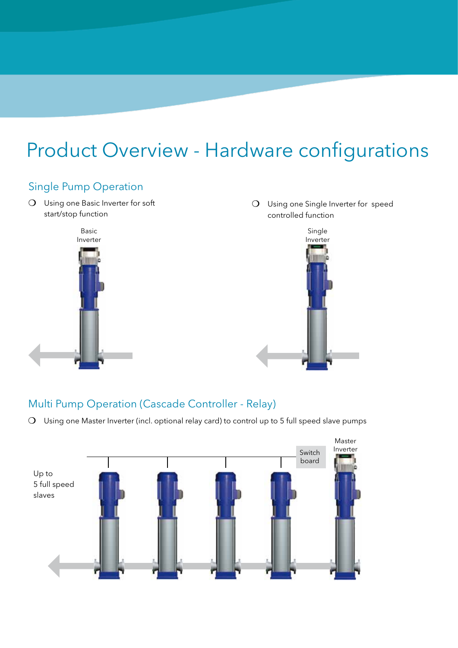### Product Overview - Hardware configurations

### Single Pump Operation

O Using one Basic Inverter for soft start/stop function



O Using one Single Inverter for speed controlled function



#### Multi Pump Operation (Cascade Controller - Relay)

 $\Omega$  Using one Master Inverter (incl. optional relay card) to control up to 5 full speed slave pumps

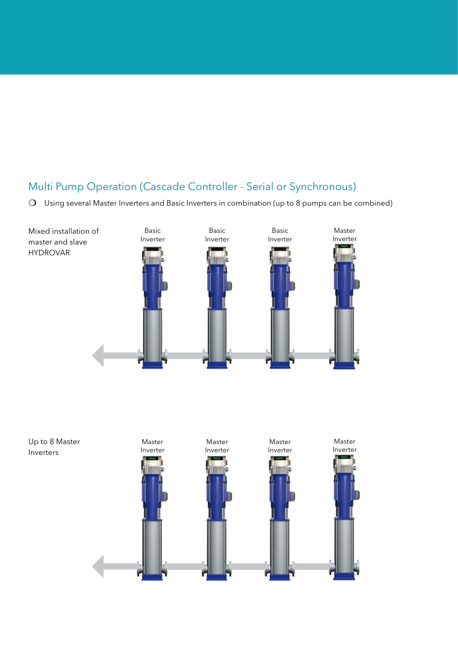### Multi Pump Operation (Cascade Controller - Serial or Synchronous)

O Using several Master Inverters and Basic Inverters in combination (up to 8 pumps can be combined)